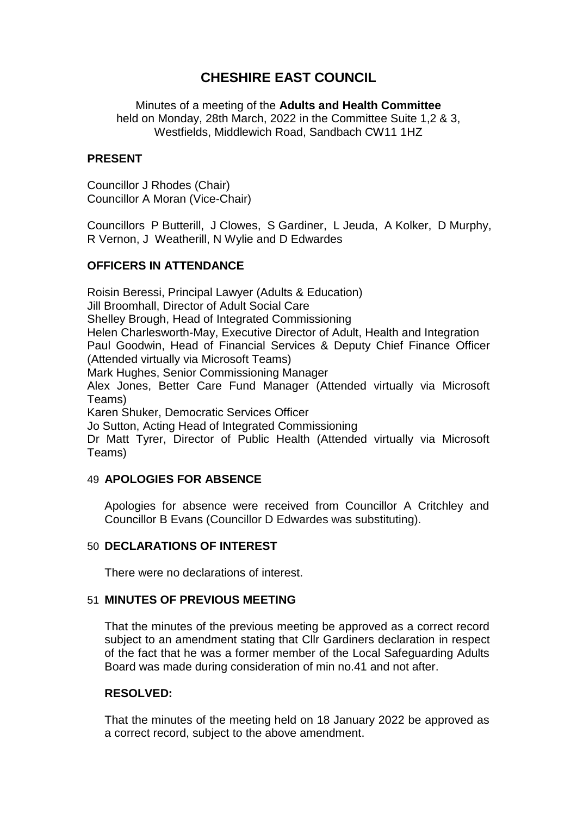# **CHESHIRE EAST COUNCIL**

Minutes of a meeting of the **Adults and Health Committee** held on Monday, 28th March, 2022 in the Committee Suite 1,2 & 3, Westfields, Middlewich Road, Sandbach CW11 1HZ

## **PRESENT**

Councillor J Rhodes (Chair) Councillor A Moran (Vice-Chair)

Councillors P Butterill, J Clowes, S Gardiner, L Jeuda, A Kolker, D Murphy, R Vernon, J Weatherill, N Wylie and D Edwardes

## **OFFICERS IN ATTENDANCE**

Roisin Beressi, Principal Lawyer (Adults & Education) Jill Broomhall, Director of Adult Social Care Shelley Brough, Head of Integrated Commissioning Helen Charlesworth-May, Executive Director of Adult, Health and Integration Paul Goodwin, Head of Financial Services & Deputy Chief Finance Officer (Attended virtually via Microsoft Teams) Mark Hughes, Senior Commissioning Manager Alex Jones, Better Care Fund Manager (Attended virtually via Microsoft Teams) Karen Shuker, Democratic Services Officer Jo Sutton, Acting Head of Integrated Commissioning

Dr Matt Tyrer, Director of Public Health (Attended virtually via Microsoft Teams)

#### 49 **APOLOGIES FOR ABSENCE**

Apologies for absence were received from Councillor A Critchley and Councillor B Evans (Councillor D Edwardes was substituting).

#### 50 **DECLARATIONS OF INTEREST**

There were no declarations of interest.

# 51 **MINUTES OF PREVIOUS MEETING**

That the minutes of the previous meeting be approved as a correct record subject to an amendment stating that Cllr Gardiners declaration in respect of the fact that he was a former member of the Local Safeguarding Adults Board was made during consideration of min no.41 and not after.

## **RESOLVED:**

That the minutes of the meeting held on 18 January 2022 be approved as a correct record, subject to the above amendment.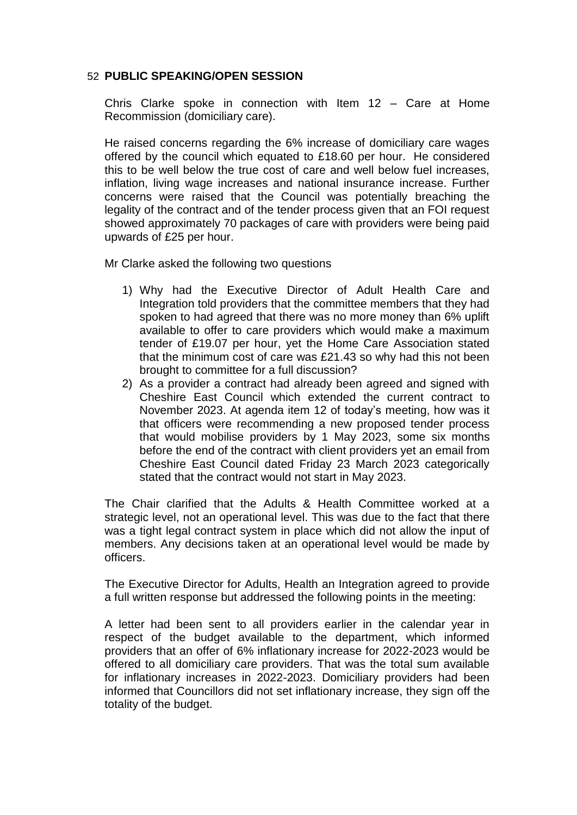## 52 **PUBLIC SPEAKING/OPEN SESSION**

Chris Clarke spoke in connection with Item 12 – Care at Home Recommission (domiciliary care).

He raised concerns regarding the 6% increase of domiciliary care wages offered by the council which equated to £18.60 per hour. He considered this to be well below the true cost of care and well below fuel increases, inflation, living wage increases and national insurance increase. Further concerns were raised that the Council was potentially breaching the legality of the contract and of the tender process given that an FOI request showed approximately 70 packages of care with providers were being paid upwards of £25 per hour.

Mr Clarke asked the following two questions

- 1) Why had the Executive Director of Adult Health Care and Integration told providers that the committee members that they had spoken to had agreed that there was no more money than 6% uplift available to offer to care providers which would make a maximum tender of £19.07 per hour, yet the Home Care Association stated that the minimum cost of care was £21.43 so why had this not been brought to committee for a full discussion?
- 2) As a provider a contract had already been agreed and signed with Cheshire East Council which extended the current contract to November 2023. At agenda item 12 of today's meeting, how was it that officers were recommending a new proposed tender process that would mobilise providers by 1 May 2023, some six months before the end of the contract with client providers yet an email from Cheshire East Council dated Friday 23 March 2023 categorically stated that the contract would not start in May 2023.

The Chair clarified that the Adults & Health Committee worked at a strategic level, not an operational level. This was due to the fact that there was a tight legal contract system in place which did not allow the input of members. Any decisions taken at an operational level would be made by officers.

The Executive Director for Adults, Health an Integration agreed to provide a full written response but addressed the following points in the meeting:

A letter had been sent to all providers earlier in the calendar year in respect of the budget available to the department, which informed providers that an offer of 6% inflationary increase for 2022-2023 would be offered to all domiciliary care providers. That was the total sum available for inflationary increases in 2022-2023. Domiciliary providers had been informed that Councillors did not set inflationary increase, they sign off the totality of the budget.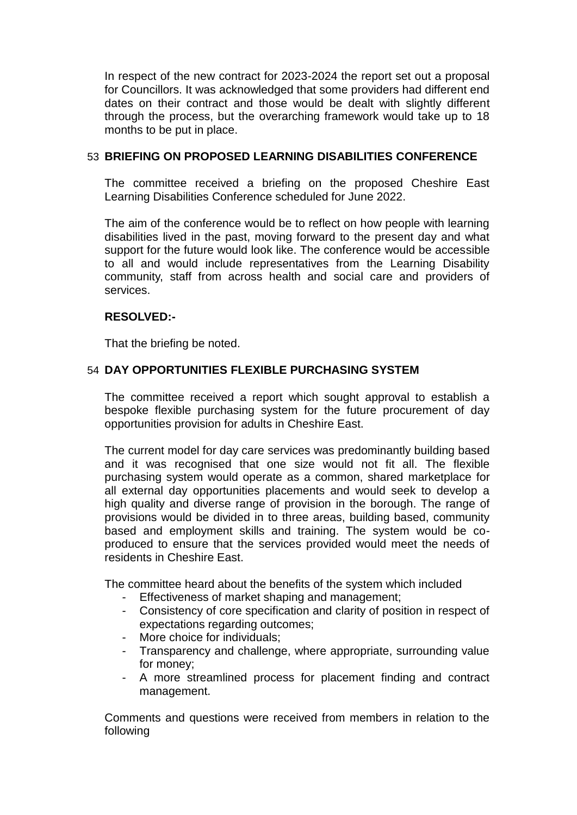In respect of the new contract for 2023-2024 the report set out a proposal for Councillors. It was acknowledged that some providers had different end dates on their contract and those would be dealt with slightly different through the process, but the overarching framework would take up to 18 months to be put in place.

## 53 **BRIEFING ON PROPOSED LEARNING DISABILITIES CONFERENCE**

The committee received a briefing on the proposed Cheshire East Learning Disabilities Conference scheduled for June 2022.

The aim of the conference would be to reflect on how people with learning disabilities lived in the past, moving forward to the present day and what support for the future would look like. The conference would be accessible to all and would include representatives from the Learning Disability community, staff from across health and social care and providers of services.

# **RESOLVED:-**

That the briefing be noted.

# 54 **DAY OPPORTUNITIES FLEXIBLE PURCHASING SYSTEM**

The committee received a report which sought approval to establish a bespoke flexible purchasing system for the future procurement of day opportunities provision for adults in Cheshire East.

The current model for day care services was predominantly building based and it was recognised that one size would not fit all. The flexible purchasing system would operate as a common, shared marketplace for all external day opportunities placements and would seek to develop a high quality and diverse range of provision in the borough. The range of provisions would be divided in to three areas, building based, community based and employment skills and training. The system would be coproduced to ensure that the services provided would meet the needs of residents in Cheshire East.

The committee heard about the benefits of the system which included

- Effectiveness of market shaping and management;
- Consistency of core specification and clarity of position in respect of expectations regarding outcomes;
- More choice for individuals;
- Transparency and challenge, where appropriate, surrounding value for money;
- A more streamlined process for placement finding and contract management.

Comments and questions were received from members in relation to the following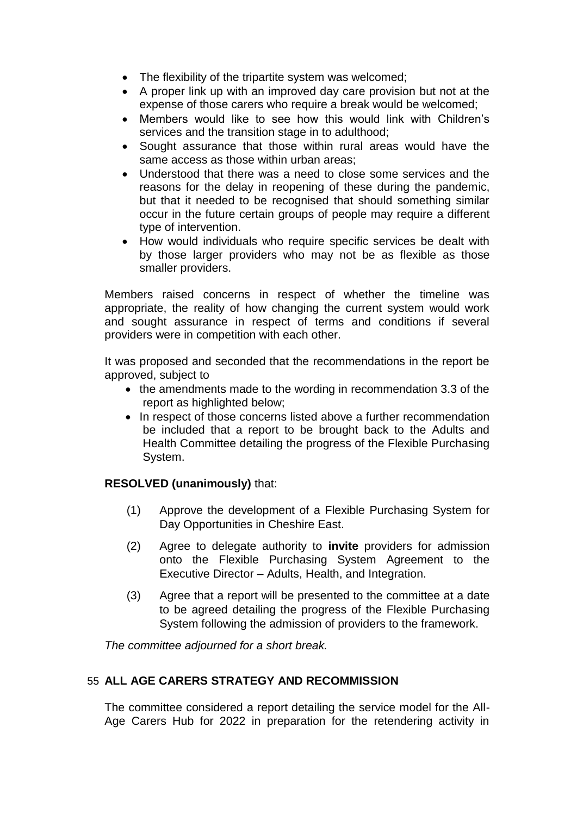- The flexibility of the tripartite system was welcomed;
- A proper link up with an improved day care provision but not at the expense of those carers who require a break would be welcomed;
- Members would like to see how this would link with Children's services and the transition stage in to adulthood;
- Sought assurance that those within rural areas would have the same access as those within urban areas;
- Understood that there was a need to close some services and the reasons for the delay in reopening of these during the pandemic, but that it needed to be recognised that should something similar occur in the future certain groups of people may require a different type of intervention.
- How would individuals who require specific services be dealt with by those larger providers who may not be as flexible as those smaller providers.

Members raised concerns in respect of whether the timeline was appropriate, the reality of how changing the current system would work and sought assurance in respect of terms and conditions if several providers were in competition with each other.

It was proposed and seconded that the recommendations in the report be approved, subject to

- the amendments made to the wording in recommendation 3.3 of the report as highlighted below;
- In respect of those concerns listed above a further recommendation be included that a report to be brought back to the Adults and Health Committee detailing the progress of the Flexible Purchasing System.

# **RESOLVED (unanimously)** that:

- (1) Approve the development of a Flexible Purchasing System for Day Opportunities in Cheshire East.
- (2) Agree to delegate authority to **invite** providers for admission onto the Flexible Purchasing System Agreement to the Executive Director – Adults, Health, and Integration.
- (3) Agree that a report will be presented to the committee at a date to be agreed detailing the progress of the Flexible Purchasing System following the admission of providers to the framework.

*The committee adjourned for a short break.*

## 55 **ALL AGE CARERS STRATEGY AND RECOMMISSION**

The committee considered a report detailing the service model for the All-Age Carers Hub for 2022 in preparation for the retendering activity in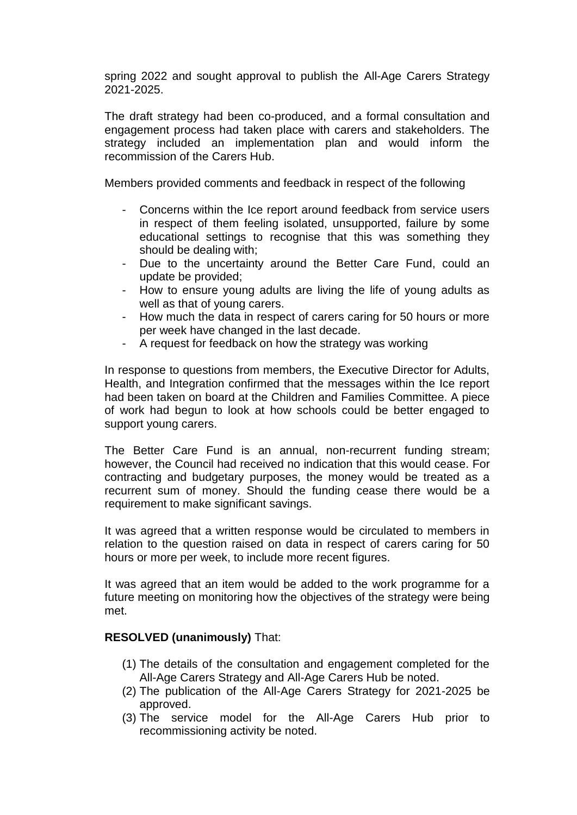spring 2022 and sought approval to publish the All-Age Carers Strategy 2021-2025.

The draft strategy had been co-produced, and a formal consultation and engagement process had taken place with carers and stakeholders. The strategy included an implementation plan and would inform the recommission of the Carers Hub.

Members provided comments and feedback in respect of the following

- Concerns within the Ice report around feedback from service users in respect of them feeling isolated, unsupported, failure by some educational settings to recognise that this was something they should be dealing with;
- Due to the uncertainty around the Better Care Fund, could an update be provided;
- How to ensure young adults are living the life of young adults as well as that of young carers.
- How much the data in respect of carers caring for 50 hours or more per week have changed in the last decade.
- A request for feedback on how the strategy was working

In response to questions from members, the Executive Director for Adults, Health, and Integration confirmed that the messages within the Ice report had been taken on board at the Children and Families Committee. A piece of work had begun to look at how schools could be better engaged to support young carers.

The Better Care Fund is an annual, non-recurrent funding stream; however, the Council had received no indication that this would cease. For contracting and budgetary purposes, the money would be treated as a recurrent sum of money. Should the funding cease there would be a requirement to make significant savings.

It was agreed that a written response would be circulated to members in relation to the question raised on data in respect of carers caring for 50 hours or more per week, to include more recent figures.

It was agreed that an item would be added to the work programme for a future meeting on monitoring how the objectives of the strategy were being met.

## **RESOLVED (unanimously)** That:

- (1) The details of the consultation and engagement completed for the All-Age Carers Strategy and All-Age Carers Hub be noted.
- (2) The publication of the All-Age Carers Strategy for 2021-2025 be approved.
- (3) The service model for the All-Age Carers Hub prior to recommissioning activity be noted.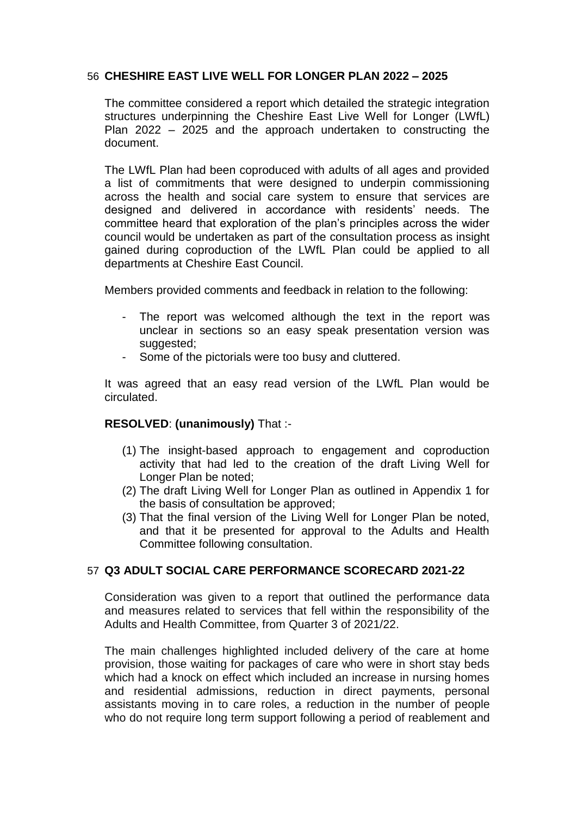# 56 **CHESHIRE EAST LIVE WELL FOR LONGER PLAN 2022 – 2025**

The committee considered a report which detailed the strategic integration structures underpinning the Cheshire East Live Well for Longer (LWfL) Plan 2022 – 2025 and the approach undertaken to constructing the document.

The LWfL Plan had been coproduced with adults of all ages and provided a list of commitments that were designed to underpin commissioning across the health and social care system to ensure that services are designed and delivered in accordance with residents' needs. The committee heard that exploration of the plan's principles across the wider council would be undertaken as part of the consultation process as insight gained during coproduction of the LWfL Plan could be applied to all departments at Cheshire East Council.

Members provided comments and feedback in relation to the following:

- The report was welcomed although the text in the report was unclear in sections so an easy speak presentation version was suggested;
- Some of the pictorials were too busy and cluttered.

It was agreed that an easy read version of the LWfL Plan would be circulated.

## **RESOLVED**: **(unanimously)** That :-

- (1) The insight-based approach to engagement and coproduction activity that had led to the creation of the draft Living Well for Longer Plan be noted;
- (2) The draft Living Well for Longer Plan as outlined in Appendix 1 for the basis of consultation be approved;
- (3) That the final version of the Living Well for Longer Plan be noted, and that it be presented for approval to the Adults and Health Committee following consultation.

## 57 **Q3 ADULT SOCIAL CARE PERFORMANCE SCORECARD 2021-22**

Consideration was given to a report that outlined the performance data and measures related to services that fell within the responsibility of the Adults and Health Committee, from Quarter 3 of 2021/22.

The main challenges highlighted included delivery of the care at home provision, those waiting for packages of care who were in short stay beds which had a knock on effect which included an increase in nursing homes and residential admissions, reduction in direct payments, personal assistants moving in to care roles, a reduction in the number of people who do not require long term support following a period of reablement and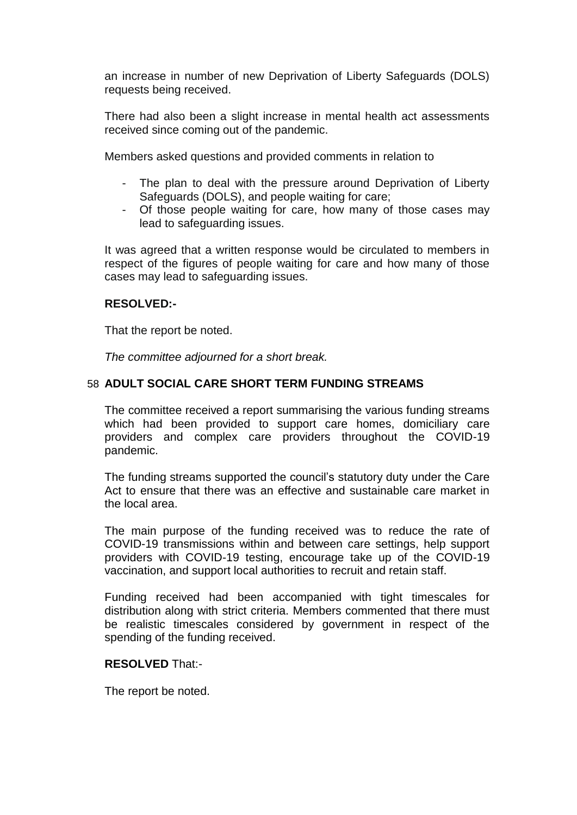an increase in number of new Deprivation of Liberty Safeguards (DOLS) requests being received.

There had also been a slight increase in mental health act assessments received since coming out of the pandemic.

Members asked questions and provided comments in relation to

- The plan to deal with the pressure around Deprivation of Liberty Safeguards (DOLS), and people waiting for care;
- Of those people waiting for care, how many of those cases may lead to safeguarding issues.

It was agreed that a written response would be circulated to members in respect of the figures of people waiting for care and how many of those cases may lead to safeguarding issues.

## **RESOLVED:-**

That the report be noted.

*The committee adjourned for a short break.*

## 58 **ADULT SOCIAL CARE SHORT TERM FUNDING STREAMS**

The committee received a report summarising the various funding streams which had been provided to support care homes, domiciliary care providers and complex care providers throughout the COVID-19 pandemic.

The funding streams supported the council's statutory duty under the Care Act to ensure that there was an effective and sustainable care market in the local area.

The main purpose of the funding received was to reduce the rate of COVID-19 transmissions within and between care settings, help support providers with COVID-19 testing, encourage take up of the COVID-19 vaccination, and support local authorities to recruit and retain staff.

Funding received had been accompanied with tight timescales for distribution along with strict criteria. Members commented that there must be realistic timescales considered by government in respect of the spending of the funding received.

#### **RESOLVED** That:-

The report be noted.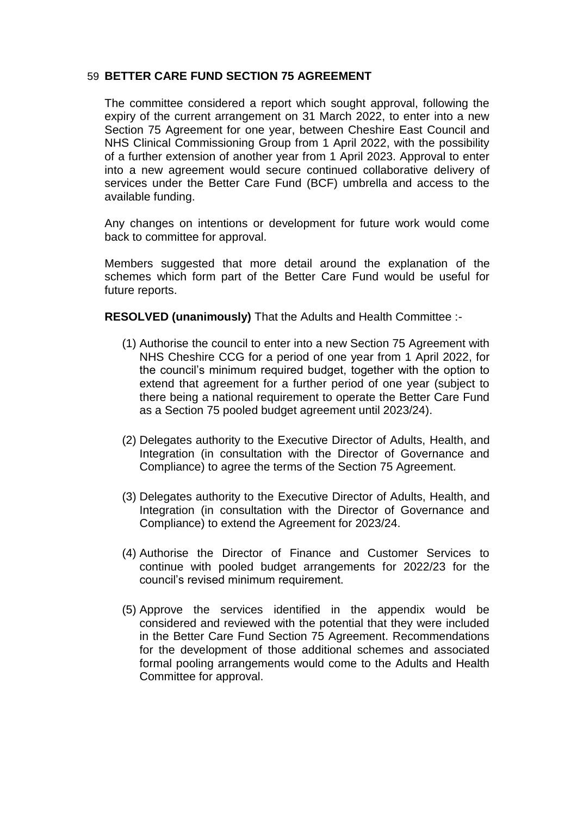## 59 **BETTER CARE FUND SECTION 75 AGREEMENT**

The committee considered a report which sought approval, following the expiry of the current arrangement on 31 March 2022, to enter into a new Section 75 Agreement for one year, between Cheshire East Council and NHS Clinical Commissioning Group from 1 April 2022, with the possibility of a further extension of another year from 1 April 2023. Approval to enter into a new agreement would secure continued collaborative delivery of services under the Better Care Fund (BCF) umbrella and access to the available funding.

Any changes on intentions or development for future work would come back to committee for approval.

Members suggested that more detail around the explanation of the schemes which form part of the Better Care Fund would be useful for future reports.

**RESOLVED (unanimously)** That the Adults and Health Committee :-

- (1) Authorise the council to enter into a new Section 75 Agreement with NHS Cheshire CCG for a period of one year from 1 April 2022, for the council's minimum required budget, together with the option to extend that agreement for a further period of one year (subject to there being a national requirement to operate the Better Care Fund as a Section 75 pooled budget agreement until 2023/24).
- (2) Delegates authority to the Executive Director of Adults, Health, and Integration (in consultation with the Director of Governance and Compliance) to agree the terms of the Section 75 Agreement.
- (3) Delegates authority to the Executive Director of Adults, Health, and Integration (in consultation with the Director of Governance and Compliance) to extend the Agreement for 2023/24.
- (4) Authorise the Director of Finance and Customer Services to continue with pooled budget arrangements for 2022/23 for the council's revised minimum requirement.
- (5) Approve the services identified in the appendix would be considered and reviewed with the potential that they were included in the Better Care Fund Section 75 Agreement. Recommendations for the development of those additional schemes and associated formal pooling arrangements would come to the Adults and Health Committee for approval.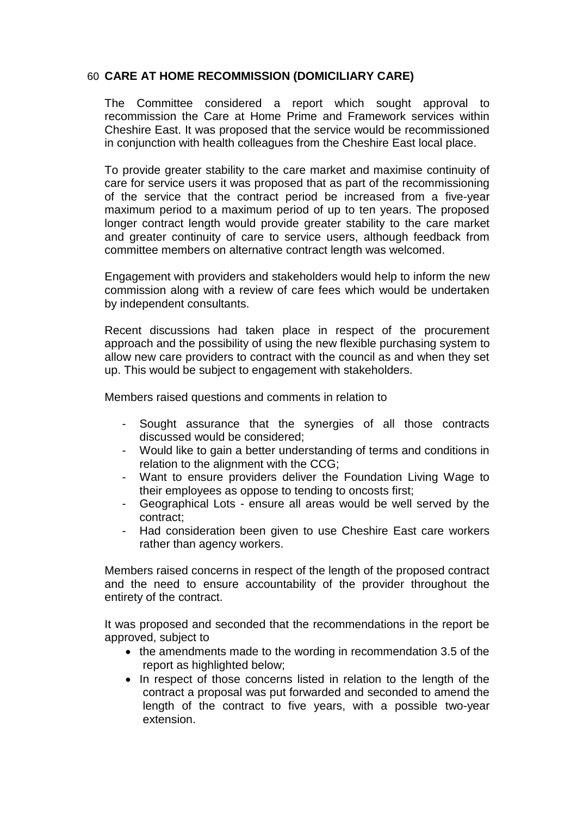# 60 **CARE AT HOME RECOMMISSION (DOMICILIARY CARE)**

The Committee considered a report which sought approval to recommission the Care at Home Prime and Framework services within Cheshire East. It was proposed that the service would be recommissioned in conjunction with health colleagues from the Cheshire East local place.

To provide greater stability to the care market and maximise continuity of care for service users it was proposed that as part of the recommissioning of the service that the contract period be increased from a five-year maximum period to a maximum period of up to ten years. The proposed longer contract length would provide greater stability to the care market and greater continuity of care to service users, although feedback from committee members on alternative contract length was welcomed.

Engagement with providers and stakeholders would help to inform the new commission along with a review of care fees which would be undertaken by independent consultants.

Recent discussions had taken place in respect of the procurement approach and the possibility of using the new flexible purchasing system to allow new care providers to contract with the council as and when they set up. This would be subject to engagement with stakeholders.

Members raised questions and comments in relation to

- Sought assurance that the synergies of all those contracts discussed would be considered;
- Would like to gain a better understanding of terms and conditions in relation to the alignment with the CCG;
- Want to ensure providers deliver the Foundation Living Wage to their employees as oppose to tending to oncosts first;
- Geographical Lots ensure all areas would be well served by the contract;
- Had consideration been given to use Cheshire East care workers rather than agency workers.

Members raised concerns in respect of the length of the proposed contract and the need to ensure accountability of the provider throughout the entirety of the contract.

It was proposed and seconded that the recommendations in the report be approved, subject to

- the amendments made to the wording in recommendation 3.5 of the report as highlighted below;
- In respect of those concerns listed in relation to the length of the contract a proposal was put forwarded and seconded to amend the length of the contract to five years, with a possible two-year extension.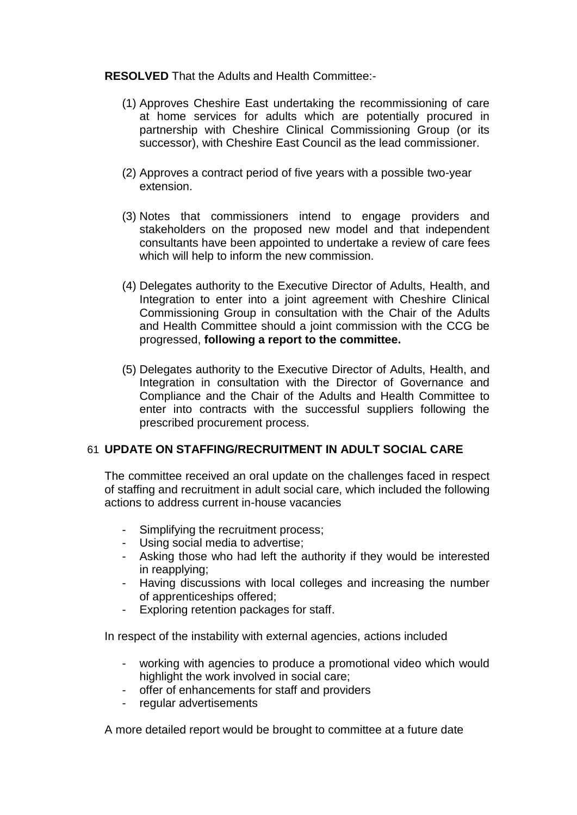#### **RESOLVED** That the Adults and Health Committee:-

- (1) Approves Cheshire East undertaking the recommissioning of care at home services for adults which are potentially procured in partnership with Cheshire Clinical Commissioning Group (or its successor), with Cheshire East Council as the lead commissioner.
- (2) Approves a contract period of five years with a possible two-year extension.
- (3) Notes that commissioners intend to engage providers and stakeholders on the proposed new model and that independent consultants have been appointed to undertake a review of care fees which will help to inform the new commission.
- (4) Delegates authority to the Executive Director of Adults, Health, and Integration to enter into a joint agreement with Cheshire Clinical Commissioning Group in consultation with the Chair of the Adults and Health Committee should a joint commission with the CCG be progressed, **following a report to the committee.**
- (5) Delegates authority to the Executive Director of Adults, Health, and Integration in consultation with the Director of Governance and Compliance and the Chair of the Adults and Health Committee to enter into contracts with the successful suppliers following the prescribed procurement process.

## 61 **UPDATE ON STAFFING/RECRUITMENT IN ADULT SOCIAL CARE**

The committee received an oral update on the challenges faced in respect of staffing and recruitment in adult social care, which included the following actions to address current in-house vacancies

- Simplifying the recruitment process;
- Using social media to advertise;
- Asking those who had left the authority if they would be interested in reapplying;
- Having discussions with local colleges and increasing the number of apprenticeships offered;
- Exploring retention packages for staff.

In respect of the instability with external agencies, actions included

- working with agencies to produce a promotional video which would highlight the work involved in social care;
- offer of enhancements for staff and providers
- regular advertisements

A more detailed report would be brought to committee at a future date